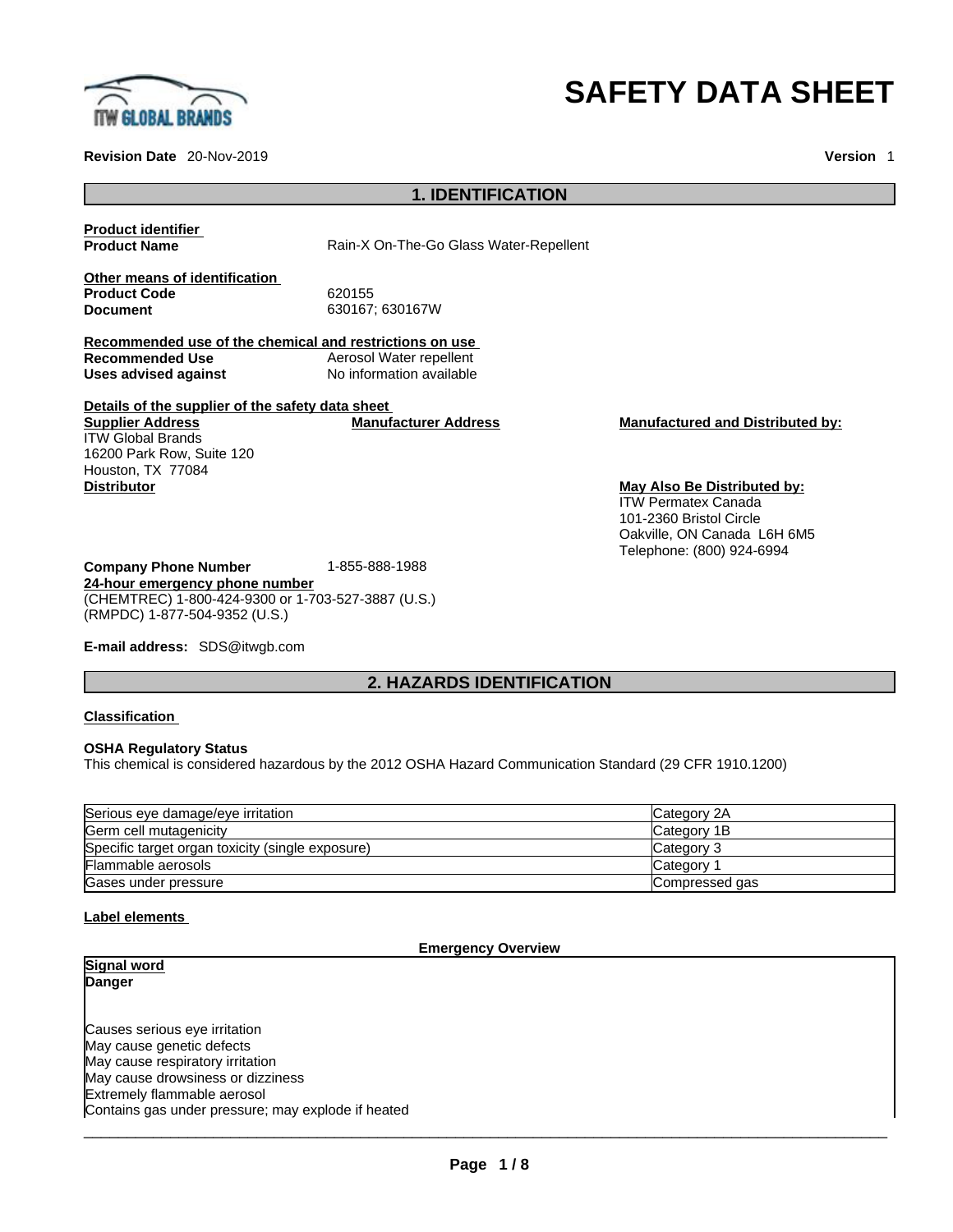

#### **Revision Date** 20-Nov-2019 **Version** 1

# **SAFETY DATA SHEET**

**May Also Be Distributed by:** ITW Permatex Canada 101-2360 Bristol Circle

Oakville, ON Canada L6H 6M5 Telephone: (800) 924-6994

# **1. IDENTIFICATION**

**Product identifier**

**Product Name** Rain-X On-The-Go Glass Water-Repellent

**Other means of identification** Product Code 620155<br> **Document** 630167

**Document** 630167; 630167W

**Recommended use of the chemical and restrictions on use Aerosol Water repellent Uses advised against** No information available

#### **Details of the supplier of the safety data sheet Supplier Address Manufacturer Address Manufactured and Distributed by:**

ITW Global Brands 16200 Park Row, Suite 120 Houston, TX 77084<br>Distributor

**Company Phone Number** 1-855-888-1988 **24-hour emergency phone number** (CHEMTREC) 1-800-424-9300 or 1-703-527-3887 (U.S.) (RMPDC) 1-877-504-9352 (U.S.)

**E-mail address:** SDS@itwgb.com

# **2. HAZARDS IDENTIFICATION**

#### **Classification**

#### **OSHA Regulatory Status**

This chemical is considered hazardous by the 2012 OSHA Hazard Communication Standard (29 CFR 1910.1200)

| Serious eye damage/eye irritation                | <b>ICategory 2A</b> |
|--------------------------------------------------|---------------------|
| Germ cell mutagenicity                           | Category 1B         |
| Specific target organ toxicity (single exposure) | Category 3          |
| Flammable aerosols                               | Category 1          |
| Gases under pressure                             | Compressed gas      |

# **Label elements**

#### **Emergency Overview**

**Signal word Danger**  Causes serious eye irritation May cause genetic defects May cause respiratory irritation May cause drowsiness or dizziness Extremely flammable aerosol  $\_$  ,  $\_$  ,  $\_$  ,  $\_$  ,  $\_$  ,  $\_$  ,  $\_$  ,  $\_$  ,  $\_$  ,  $\_$  ,  $\_$  ,  $\_$  ,  $\_$  ,  $\_$  ,  $\_$  ,  $\_$  ,  $\_$  ,  $\_$  ,  $\_$  ,  $\_$  ,  $\_$  ,  $\_$  ,  $\_$  ,  $\_$  ,  $\_$  ,  $\_$  ,  $\_$  ,  $\_$  ,  $\_$  ,  $\_$  ,  $\_$  ,  $\_$  ,  $\_$  ,  $\_$  ,  $\_$  ,  $\_$  ,  $\_$  , Contains gas under pressure; may explode if heated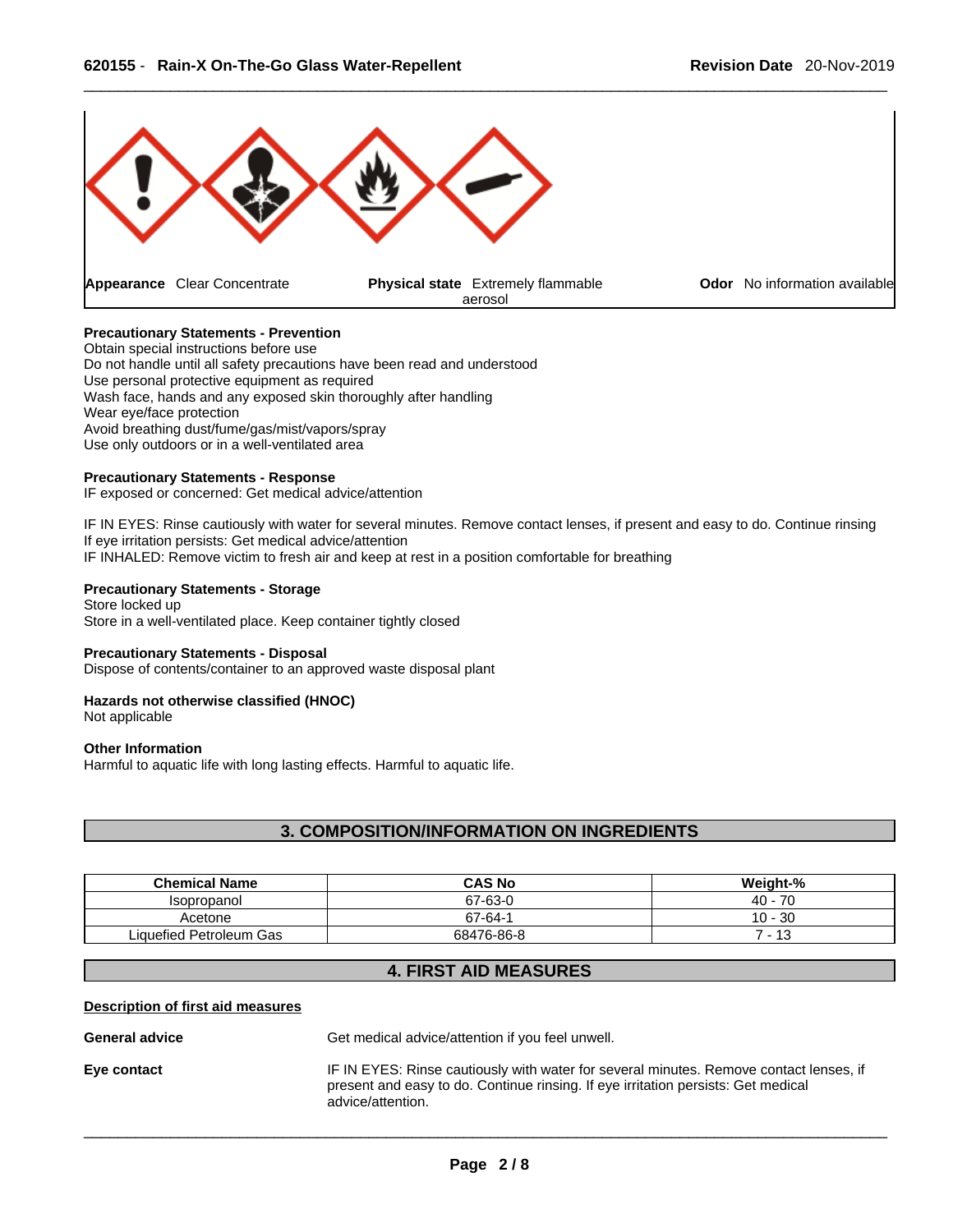

# **Precautionary Statements - Prevention**

Obtain special instructions before use Do not handle until all safety precautions have been read and understood Use personal protective equipment as required Wash face, hands and any exposed skin thoroughly after handling Wear eye/face protection Avoid breathing dust/fume/gas/mist/vapors/spray Use only outdoors or in a well-ventilated area

#### **Precautionary Statements - Response**

IF exposed or concerned: Get medical advice/attention

IF IN EYES: Rinse cautiously with water for several minutes. Remove contact lenses, if present and easy to do. Continue rinsing If eye irritation persists: Get medical advice/attention IF INHALED: Remove victim to fresh air and keep at rest in a position comfortable for breathing

# **Precautionary Statements - Storage**

Store locked up Store in a well-ventilated place. Keep container tightly closed

#### **Precautionary Statements - Disposal**

Dispose of contents/container to an approved waste disposal plant

# **Hazards not otherwise classified (HNOC)**

Not applicable

#### **Other Information**

Harmful to aquatic life with long lasting effects. Harmful to aquatic life.

# **3. COMPOSITION/INFORMATION ON INGREDIENTS**

| <b>Chemical Name</b>    | <b>CAS No</b> | Weight-%  |
|-------------------------|---------------|-----------|
| Isopropanol             | 67-63-0       | $40 - 70$ |
| Acetone                 | 67-64-1       | $10 - 30$ |
| Liquefied Petroleum Gas | 68476-86-8    | - 13      |

# **4. FIRST AID MEASURES**

#### **Description of first aid measures**

**General advice** Get medical advice/attention if you feel unwell.

**Eye contact** IF IN EYES: Rinse cautiously with water forseveral minutes. Remove contact lenses, if present and easy to do. Continue rinsing. If eye irritation persists: Get medical advice/attention.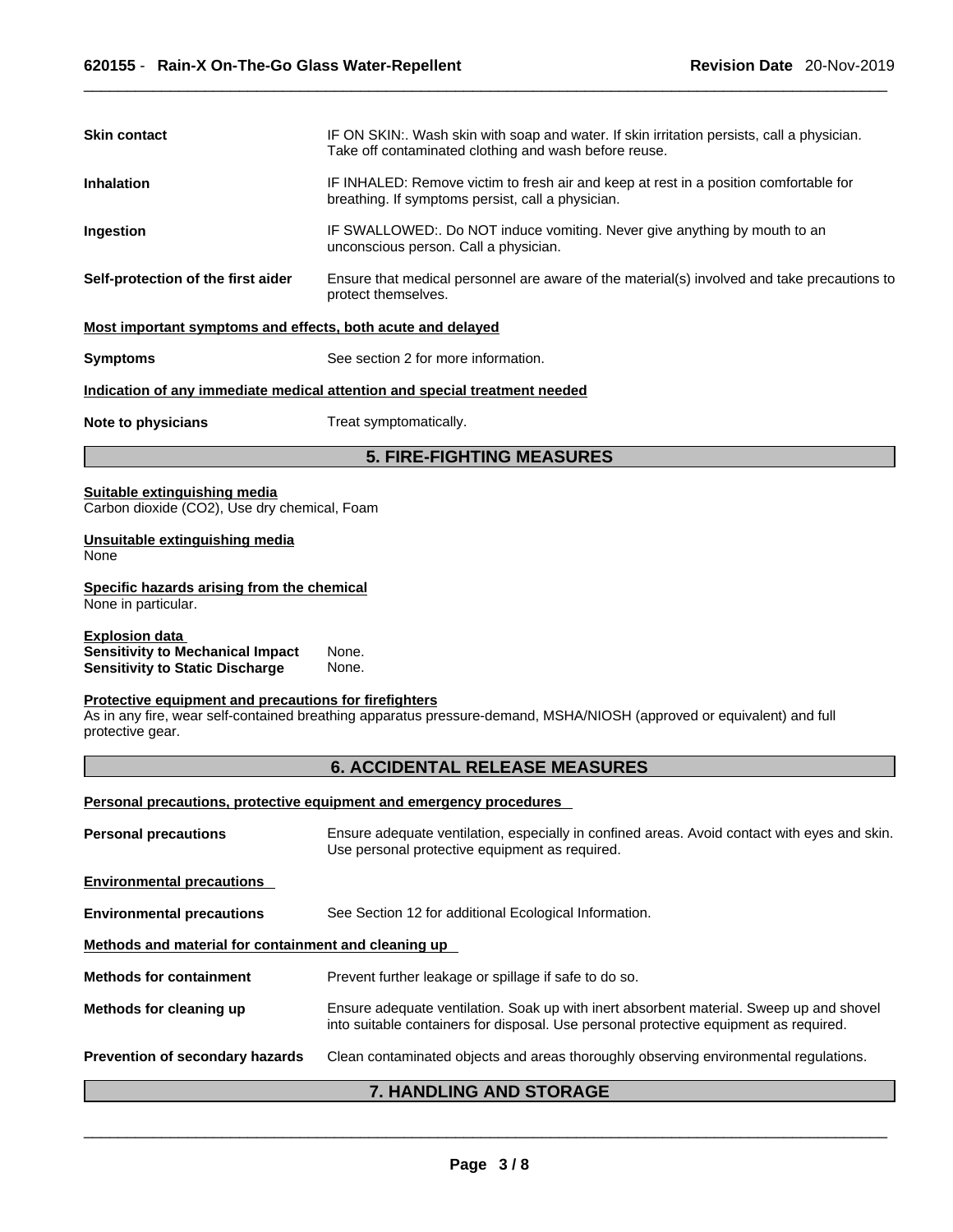| <b>Skin contact</b>                                                                                                                                             | IF ON SKIN:. Wash skin with soap and water. If skin irritation persists, call a physician.<br>Take off contaminated clothing and wash before reuse. |  |
|-----------------------------------------------------------------------------------------------------------------------------------------------------------------|-----------------------------------------------------------------------------------------------------------------------------------------------------|--|
| IF INHALED: Remove victim to fresh air and keep at rest in a position comfortable for<br><b>Inhalation</b><br>breathing. If symptoms persist, call a physician. |                                                                                                                                                     |  |
| Ingestion                                                                                                                                                       | IF SWALLOWED:. Do NOT induce vomiting. Never give anything by mouth to an<br>unconscious person. Call a physician.                                  |  |
| Self-protection of the first aider                                                                                                                              | Ensure that medical personnel are aware of the material(s) involved and take precautions to<br>protect themselves.                                  |  |
| Most important symptoms and effects, both acute and delayed                                                                                                     |                                                                                                                                                     |  |
| <b>Symptoms</b>                                                                                                                                                 | See section 2 for more information.                                                                                                                 |  |
|                                                                                                                                                                 | Indication of any immediate medical attention and special treatment needed                                                                          |  |
| Note to physicians                                                                                                                                              | Treat symptomatically.                                                                                                                              |  |
|                                                                                                                                                                 | <b>5. FIRE-FIGHTING MEASURES</b>                                                                                                                    |  |
| Suitable extinguishing media<br>Carbon dioxide (CO2), Use dry chemical, Foam                                                                                    |                                                                                                                                                     |  |
| Unsuitable extinguishing media<br>None                                                                                                                          |                                                                                                                                                     |  |
| Specific hazards arising from the chemical<br>None in particular.                                                                                               |                                                                                                                                                     |  |
| <b>Explosion data</b><br><b>Sensitivity to Mechanical Impact</b><br><b>Sensitivity to Static Discharge</b>                                                      | None.<br>None.                                                                                                                                      |  |
| Protective equipment and precautions for firefighters<br>protective gear.                                                                                       | As in any fire, wear self-contained breathing apparatus pressure-demand, MSHA/NIOSH (approved or equivalent) and full                               |  |
|                                                                                                                                                                 | <b>6. ACCIDENTAL RELEASE MEASURES</b>                                                                                                               |  |
|                                                                                                                                                                 | Personal precautions, protective equipment and emergency procedures                                                                                 |  |
| <b>Personal precautions</b>                                                                                                                                     | Ensure adequate ventilation, especially in confined areas. Avoid contact with eyes and skin.<br>Use personal protective equipment as required.      |  |

| <b>Environmental precautions</b>                     |                                                                                                                                                                                  |
|------------------------------------------------------|----------------------------------------------------------------------------------------------------------------------------------------------------------------------------------|
| <b>Environmental precautions</b>                     | See Section 12 for additional Ecological Information.                                                                                                                            |
| Methods and material for containment and cleaning up |                                                                                                                                                                                  |
| <b>Methods for containment</b>                       | Prevent further leakage or spillage if safe to do so.                                                                                                                            |
| Methods for cleaning up                              | Ensure adequate ventilation. Soak up with inert absorbent material. Sweep up and shovel<br>into suitable containers for disposal. Use personal protective equipment as required. |
| <b>Prevention of secondary hazards</b>               | Clean contaminated objects and areas thoroughly observing environmental regulations.                                                                                             |
|                                                      | $7$ ilayini ilia alin atan                                                                                                                                                       |

# **7. HANDLING AND STORAGE**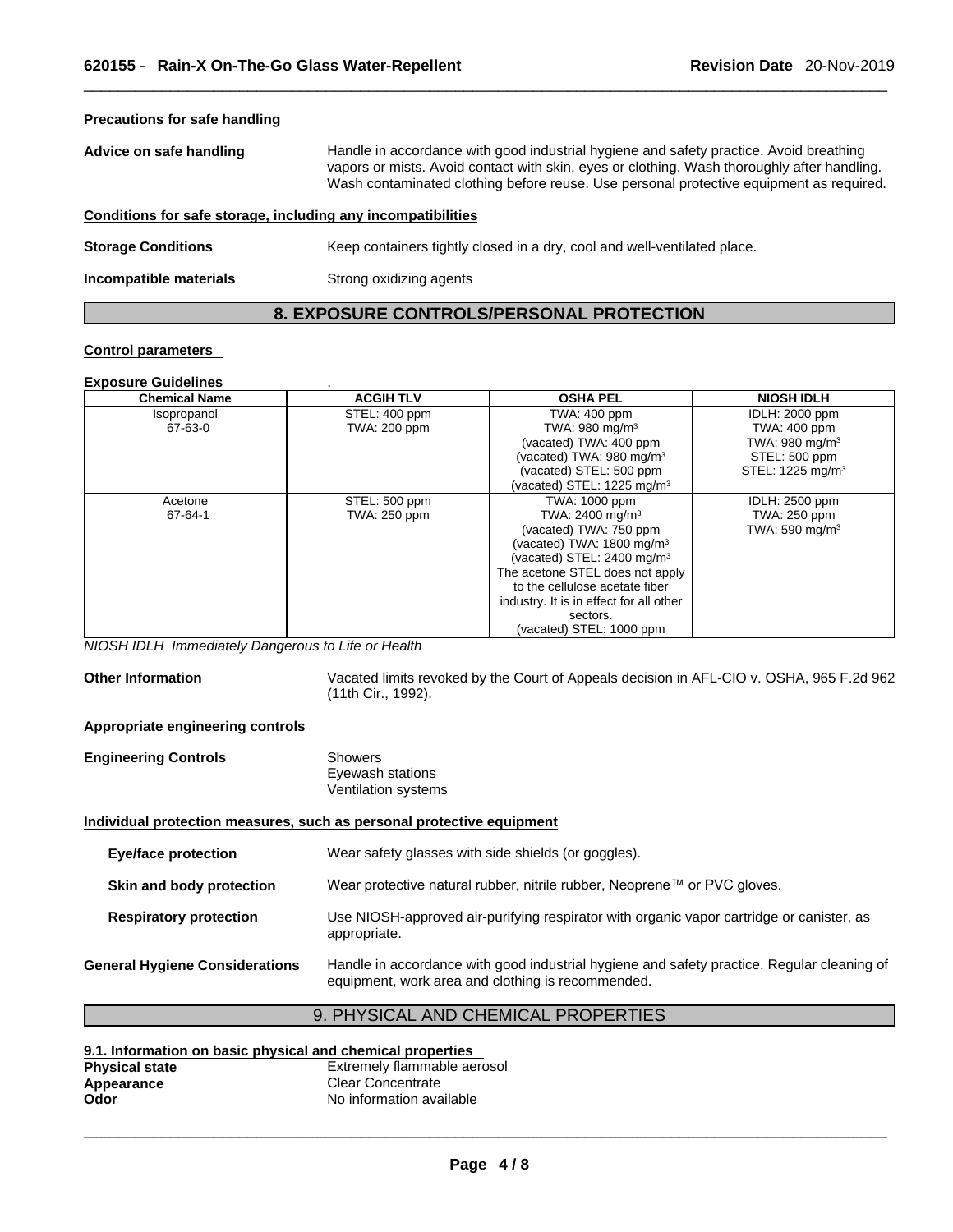# **Precautions for safe handling Advice on safe handling** Handle in accordance with good industrial hygiene and safety practice. Avoid breathing vapors or mists. Avoid contact with skin, eyes or clothing. Wash thoroughly after handling. Wash contaminated clothing before reuse. Use personal protective equipment as required.**Conditions for safe storage, including any incompatibilities Storage Conditions** Keep containers tightly closed in a dry, cool and well-ventilated place. **Incompatible materials** Strong oxidizing agents

# **8. EXPOSURE CONTROLS/PERSONAL PROTECTION**

# **Control parameters**

#### **Exposure Guidelines** .

| <b>Chemical Name</b> | <b>ACGIH TLV</b>    | <b>OSHA PEL</b>                         | <b>NIOSH IDLH</b>            |
|----------------------|---------------------|-----------------------------------------|------------------------------|
| Isopropanol          | STEL: 400 ppm       | TWA: 400 ppm                            | IDLH: 2000 ppm               |
| 67-63-0              | <b>TWA: 200 ppm</b> | TWA: 980 mg/m <sup>3</sup>              | <b>TWA: 400 ppm</b>          |
|                      |                     | (vacated) TWA: 400 ppm                  | TWA: 980 mg/m $3$            |
|                      |                     | (vacated) TWA: 980 mg/m <sup>3</sup>    | STEL: 500 ppm                |
|                      |                     | (vacated) STEL: 500 ppm                 | STEL: 1225 mg/m <sup>3</sup> |
|                      |                     | (vacated) STEL: $1225 \text{ mg/m}^3$   |                              |
| Acetone              | STEL: 500 ppm       | TWA: 1000 ppm                           | IDLH: 2500 ppm               |
| 67-64-1              | TWA: 250 ppm        | TWA: 2400 mg/m <sup>3</sup>             | TWA: 250 ppm                 |
|                      |                     | (vacated) TWA: 750 ppm                  | TWA: 590 mg/m $3$            |
|                      |                     | (vacated) TWA: $1800 \text{ mg/m}^3$    |                              |
|                      |                     | (vacated) STEL: $2400 \text{ mg/m}^3$   |                              |
|                      |                     | The acetone STEL does not apply         |                              |
|                      |                     | to the cellulose acetate fiber          |                              |
|                      |                     | industry. It is in effect for all other |                              |
|                      |                     | sectors.                                |                              |
|                      |                     | (vacated) STEL: 1000 ppm                |                              |

*NIOSH IDLH Immediately Dangerous to Life or Health* 

**Other Information** Vacated limits revoked by the Court of Appeals decision in AFL-CIO v.OSHA, 965 F.2d 962 (11th Cir., 1992).

#### **Appropriate engineering controls**

| <b>Engineering Controls</b> | <b>Showers</b>      |  |
|-----------------------------|---------------------|--|
|                             | Eyewash stations    |  |
|                             | Ventilation systems |  |

# **Individual protection measures, such as personal protective equipment**

| Eye/face protection                   | Wear safety glasses with side shields (or goggles).                                                                                             |
|---------------------------------------|-------------------------------------------------------------------------------------------------------------------------------------------------|
| Skin and body protection              | Wear protective natural rubber, nitrile rubber, Neoprene™ or PVC gloves.                                                                        |
| <b>Respiratory protection</b>         | Use NIOSH-approved air-purifying respirator with organic vapor cartridge or canister, as<br>appropriate.                                        |
| <b>General Hygiene Considerations</b> | Handle in accordance with good industrial hygiene and safety practice. Regular cleaning of<br>equipment, work area and clothing is recommended. |

# 9. PHYSICAL AND CHEMICAL PROPERTIES

| 9.1. Information on basic physical and chemical properties |                             |  |
|------------------------------------------------------------|-----------------------------|--|
| <b>Physical state</b>                                      | Extremely flammable aerosol |  |
| Appearance                                                 | Clear Concentrate           |  |
| Odor                                                       | No information available    |  |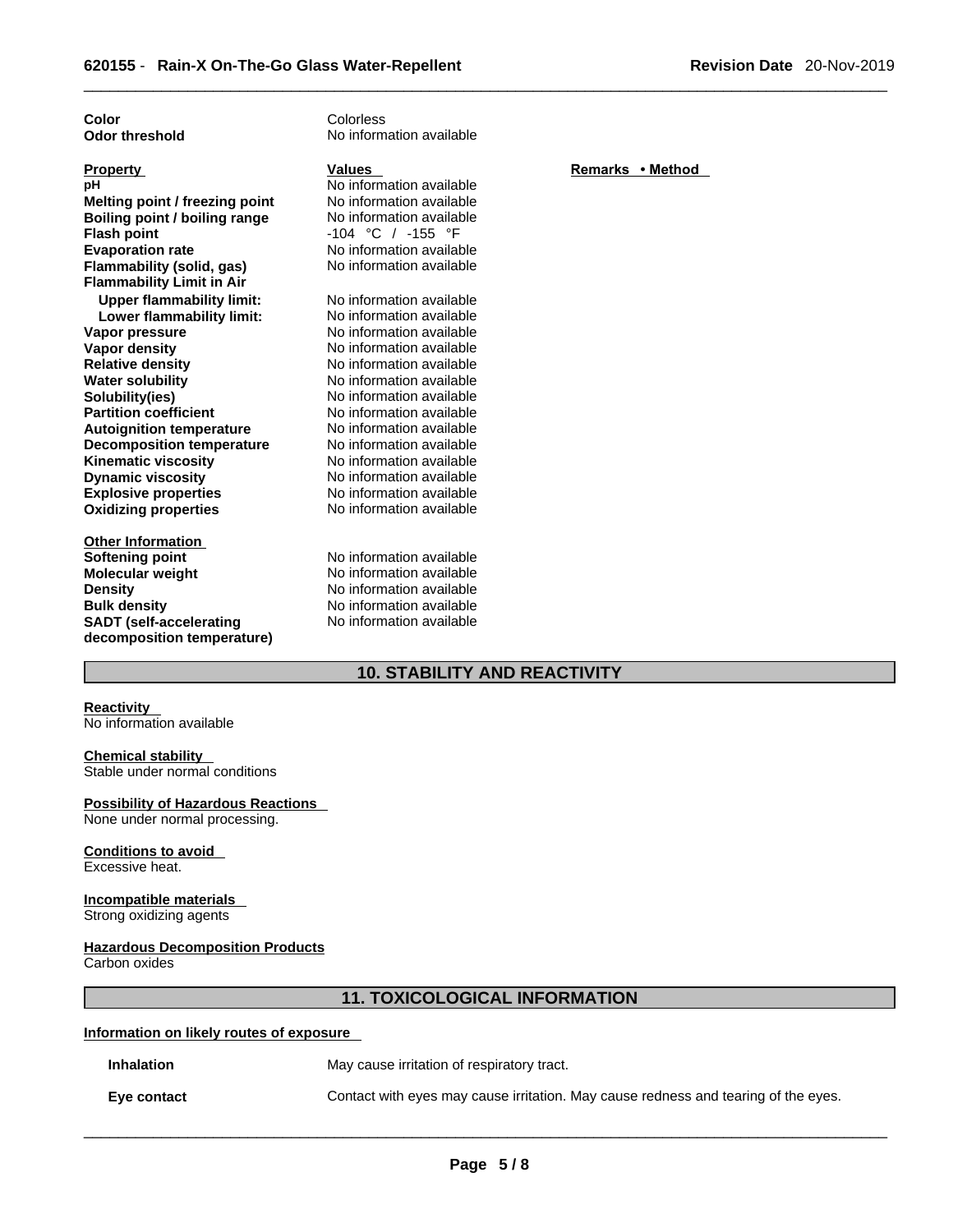| Color                            | Colorless                |                  |
|----------------------------------|--------------------------|------------------|
| <b>Odor threshold</b>            | No information available |                  |
|                                  |                          |                  |
| <b>Property</b>                  | <b>Values</b>            | Remarks • Method |
| рH                               | No information available |                  |
| Melting point / freezing point   | No information available |                  |
| Boiling point / boiling range    | No information available |                  |
| <b>Flash point</b>               | $-104$ °C / $-155$ °F    |                  |
| <b>Evaporation rate</b>          | No information available |                  |
| Flammability (solid, gas)        | No information available |                  |
| <b>Flammability Limit in Air</b> |                          |                  |
| <b>Upper flammability limit:</b> | No information available |                  |
| Lower flammability limit:        | No information available |                  |
| Vapor pressure                   | No information available |                  |
| <b>Vapor density</b>             | No information available |                  |
| <b>Relative density</b>          | No information available |                  |
| <b>Water solubility</b>          | No information available |                  |
| Solubility(ies)                  | No information available |                  |
| <b>Partition coefficient</b>     | No information available |                  |
| <b>Autoignition temperature</b>  | No information available |                  |
| <b>Decomposition temperature</b> | No information available |                  |
| <b>Kinematic viscosity</b>       | No information available |                  |
| <b>Dynamic viscosity</b>         | No information available |                  |
| <b>Explosive properties</b>      | No information available |                  |
| <b>Oxidizing properties</b>      | No information available |                  |
|                                  |                          |                  |
| <b>Other Information</b>         |                          |                  |
| <b>Softening point</b>           | No information available |                  |
| <b>Molecular weight</b>          | No information available |                  |
| <b>Density</b>                   | No information available |                  |
| <b>Bulk density</b>              | No information available |                  |
| <b>SADT</b> (self-accelerating   | No information available |                  |
| decomposition temperature)       |                          |                  |
|                                  |                          |                  |

# **10. STABILITY AND REACTIVITY**

# **Reactivity**

No information available

#### **Chemical stability**

Stable under normal conditions

# **Possibility of Hazardous Reactions**

None under normal processing.

#### **Conditions to avoid**  Excessive heat.

# **Incompatible materials**

Strong oxidizing agents

# **Hazardous Decomposition Products**

Carbon oxides

# **11. TOXICOLOGICAL INFORMATION**

#### **Information on likely routes of exposure**

**Inhalation** May cause irritation of respiratory tract.

**Eye contact Contact** Contact with eyes may cause irritation. May cause redness and tearing of the eyes.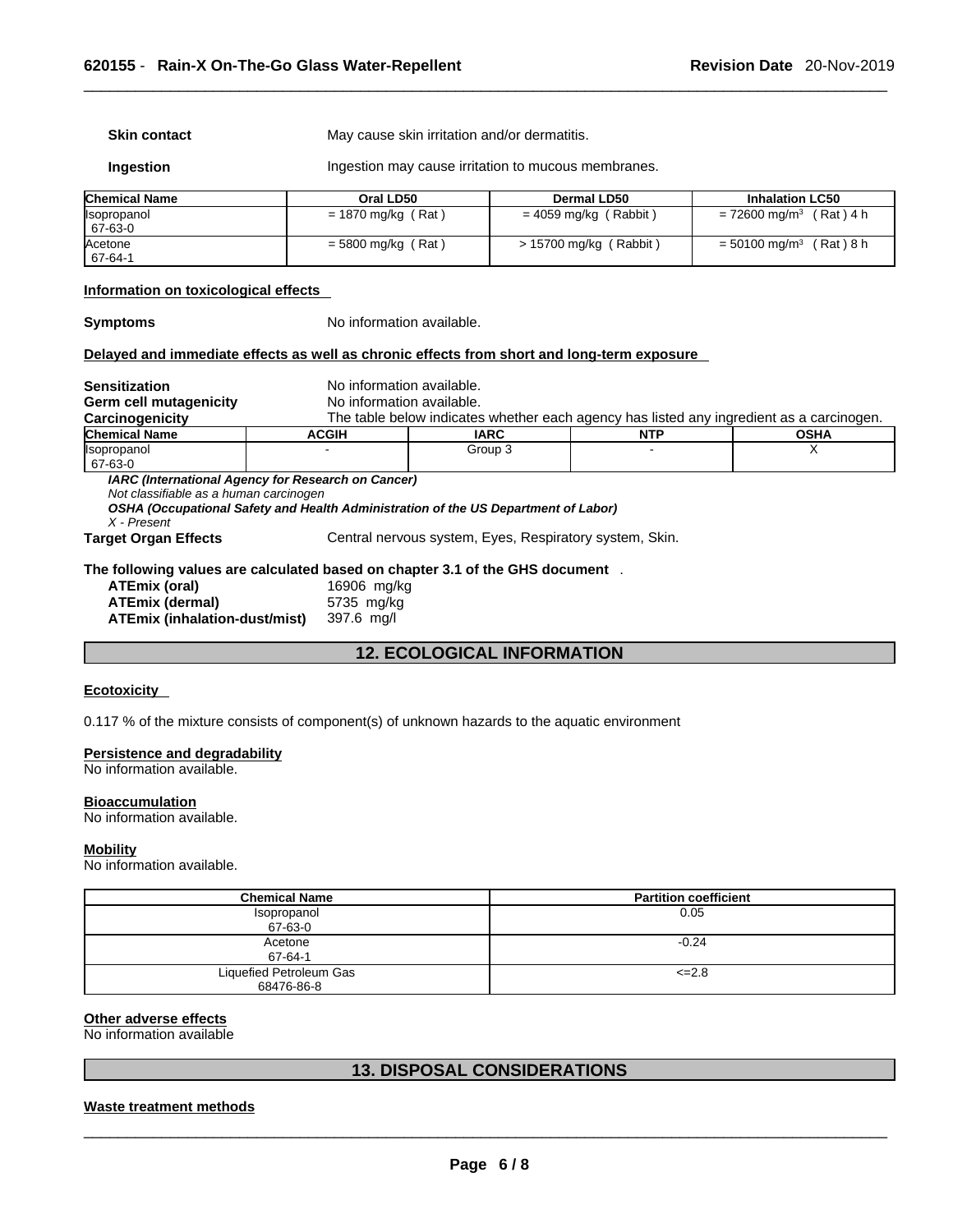**Skin contact** May cause skin irritation and/or dermatitis.

**Ingestion Ingestion may cause irritation to mucous membranes.** 

| <b>Chemical Name</b>           | Oral LD50            | Dermal LD50            | <b>Inhalation LC50</b>             |
|--------------------------------|----------------------|------------------------|------------------------------------|
| <b>Ilsopropanol</b><br>67-63-0 | $= 1870$ mg/kg (Rat) | = 4059 mg/kg (Rabbit)  | = 72600 mg/m <sup>3</sup> (Rat)4 h |
| Acetone<br>67-64-1             | $=$ 5800 mg/kg (Rat) | > 15700 mg/kg (Rabbit) | (Rat)8h<br>$= 50100$ mg/m $^{3}$   |

#### **Information on toxicological effects**

**Symptoms** No information available.

#### **Delayed and immediate effects as well as chronic effects from short and long-term exposure**

| <b>Sensitization</b>                                                                | No information available. |                                                                                          |            |             |
|-------------------------------------------------------------------------------------|---------------------------|------------------------------------------------------------------------------------------|------------|-------------|
| Germ cell mutagenicity                                                              | No information available. |                                                                                          |            |             |
| Carcinogenicity                                                                     |                           | The table below indicates whether each agency has listed any ingredient as a carcinogen. |            |             |
| <b>Chemical Name</b>                                                                | <b>ACGIH</b>              | <b>IARC</b>                                                                              | <b>NTP</b> | <b>OSHA</b> |
| llsopropanol<br>67-63-0                                                             |                           | Group 3                                                                                  |            |             |
| Not classifiable as a human carcinogen<br>X - Present                               |                           | OSHA (Occupational Safety and Health Administration of the US Department of Labor)       |            |             |
| <b>Target Organ Effects</b>                                                         |                           | Central nervous system, Eyes, Respiratory system, Skin.                                  |            |             |
| The following values are calculated based on chapter 3.1 of the GHS document $\,$ . |                           |                                                                                          |            |             |
| ATEmix (oral)                                                                       | 16906 mg/kg               |                                                                                          |            |             |
| ATEmix (dermal)                                                                     | 5735 mg/kg                |                                                                                          |            |             |
| <b>ATEmix (inhalation-dust/mist)</b>                                                | 397.6 mg/l                |                                                                                          |            |             |

# **12. ECOLOGICAL INFORMATION**

#### **Ecotoxicity**

0.117 % of the mixture consists of component(s) of unknown hazards to the aquatic environment

### **Persistence and degradability**

No information available.

#### **Bioaccumulation**

No information available.

#### **Mobility**

No information available.

| <b>Chemical Name</b>    | <b>Partition coefficient</b> |
|-------------------------|------------------------------|
| Isopropanol             | 0.05                         |
| 67-63-0                 |                              |
| Acetone                 | $-0.24$                      |
| 67-64-1                 |                              |
| Liquefied Petroleum Gas | $\leq$ -2.8                  |
| 68476-86-8              |                              |

# **Other adverse effects**

No information available

# **13. DISPOSAL CONSIDERATIONS**

#### **Waste treatment methods**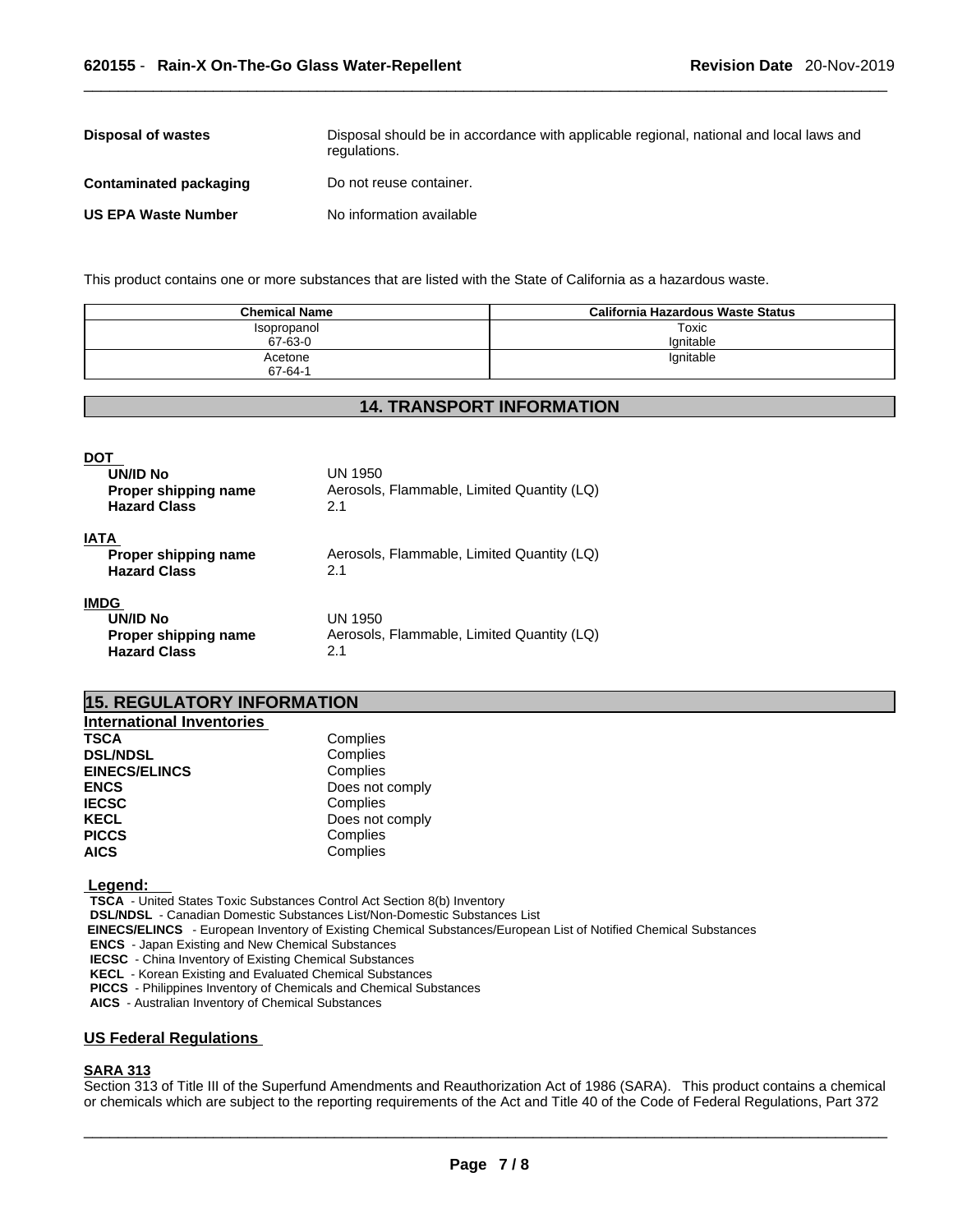| Disposal of wastes         | Disposal should be in accordance with applicable regional, national and local laws and<br>regulations. |
|----------------------------|--------------------------------------------------------------------------------------------------------|
| Contaminated packaging     | Do not reuse container.                                                                                |
| <b>US EPA Waste Number</b> | No information available                                                                               |

This product contains one or more substances that are listed with the State of California as a hazardous waste.

| <b>Chemical Name</b> | California Hazardous Waste Status |
|----------------------|-----------------------------------|
| Isopropanol          | Toxic                             |
| 67-63-0              | lanitable                         |
| Acetone              | Ignitable                         |
| 67-64-1              |                                   |

# **14. TRANSPORT INFORMATION**

| DOT<br><b>UN/ID No</b><br>Proper shipping name<br><b>Hazard Class</b>  | UN 1950<br>Aerosols, Flammable, Limited Quantity (LQ)<br>2.1 |
|------------------------------------------------------------------------|--------------------------------------------------------------|
| IATA<br>Proper shipping name<br><b>Hazard Class</b>                    | Aerosols, Flammable, Limited Quantity (LQ)<br>2.1            |
| <b>IMDG</b><br>UN/ID No<br>Proper shipping name<br><b>Hazard Class</b> | UN 1950<br>Aerosols, Flammable, Limited Quantity (LQ)<br>2.1 |

# **15. REGULATORY INFORMATION**

| <b>International Inventories</b> |                 |
|----------------------------------|-----------------|
| <b>TSCA</b>                      | Complies        |
| <b>DSL/NDSL</b>                  | Complies        |
| <b>EINECS/ELINCS</b>             | Complies        |
| <b>ENCS</b>                      | Does not comply |
| <b>IECSC</b>                     | Complies        |
| <b>KECL</b>                      | Does not comply |
| <b>PICCS</b>                     | Complies        |
| <b>AICS</b>                      | Complies        |

 **Legend:** 

**TSCA** - United States Toxic Substances Control Act Section 8(b) Inventory

**DSL/NDSL** - Canadian Domestic Substances List/Non-Domestic Substances List

 **EINECS/ELINCS** - European Inventory of Existing Chemical Substances/European List of Notified Chemical Substances

**ENCS** - Japan Existing and New Chemical Substances

**IECSC** - China Inventory of Existing Chemical Substances

**KECL** - Korean Existing and Evaluated Chemical Substances

**PICCS** - Philippines Inventory of Chemicals and Chemical Substances

**AICS** - Australian Inventory of Chemical Substances

#### **US Federal Regulations**

# **SARA 313**

Section 313 of Title III of the Superfund Amendments and Reauthorization Act of 1986 (SARA). This product contains a chemical or chemicals which are subject to the reporting requirements of the Act and Title 40 of the Code of Federal Regulations, Part 372